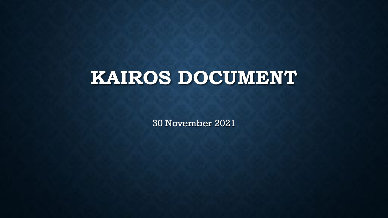# **KAIROS DOCUMENT**

30 November 2021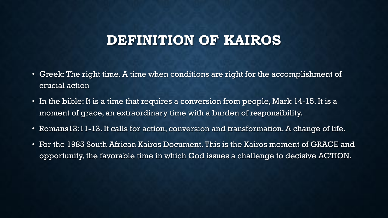### **DEFINITION OF KAIROS**

- Greek: The right time. A time when conditions are right for the accomplishment of crucial action
- In the bible: It is a time that requires a conversion from people, Mark 14-15. It is a moment of grace, an extraordinary time with a burden of responsibility.
- Romans13:11-13. It calls for action, conversion and transformation. A change of life.
- For the 1985 South African Kairos Document. This is the Kairos moment of GRACE and opportunity, the favorable time in which God issues a challenge to decisive ACTION.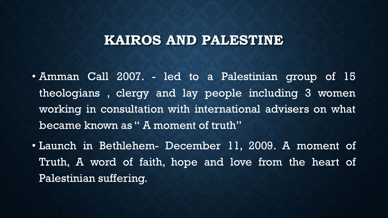### **KAIROS AND PALESTINE**

- Amman Call 2007. led to a Palestinian group of 15 theologians , clergy and lay people including 3 women working in consultation with international advisers on what became known as " A moment of truth"
- Launch in Bethlehem- December 11, 2009. A moment of Truth, A word of faith, hope and love from the heart of Palestinian suffering.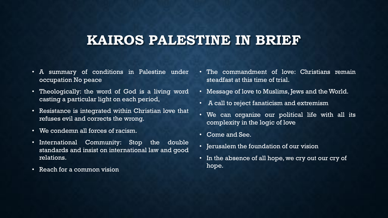### **KAIROS PALESTINE IN BRIEF**

- A summary of conditions in Palestine under occupation No peace
- Theologically: the word of God is a living word casting a particular light on each period,
- Resistance is integrated within Christian love that refuses evil and corrects the wrong.
- We condemn all forces of racism.
- International Community: Stop the double standards and insist on international law and good relations.
- Reach for a common vision
- The commandment of love: Christians remain steadfast at this time of trial.
- Message of love to Muslims, Jews and the World.
- A call to reject fanaticism and extremism
- We can organize our political life with all its complexity in the logic of love
- Come and See.
- Jerusalem the foundation of our vision
- In the absence of all hope, we cry out our cry of hope.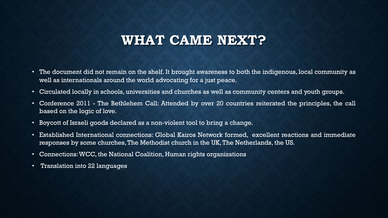### **WHAT CAME NEXT?**

- The document did not remain on the shelf. It brought awareness to both the indigenous, local community as well as internationals around the world advocating for a just peace.
- Circulated locally in schools, universities and churches as well as community centers and youth groups.
- Conference 2011 The Bethlehem Call: Attended by over 20 countries reiterated the principles, the call based on the logic of love.
- Boycott of Israeli goods declared as a non-violent tool to bring a change.
- Established International connections: Global Kairos Network formed, excellent reactions and immediate responses by some churches, The Methodist church in the UK, The Netherlands, the US.
- Connections:WCC, the National Coalition, Human rights organizations
- Translation into 22 languages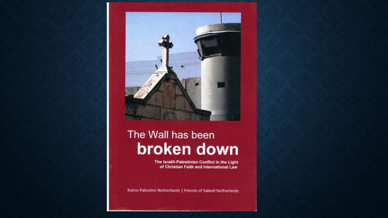

# The Wall has been broken down

The Israëli-Palestinian Conflict in the Light of Christian Faith and International Law

Kairos Palestine Netherlands | Friends of Sabeel Netherlands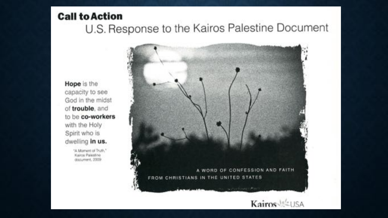#### **Call to Action**

## U.S. Response to the Kairos Palestine Document

Hope is the capacity to see God in the midst of trouble, and to be co-workers with the Holy Spirit who is dwelling in us.

> "A Moment of Truth." Kairos Palestine document, 2009

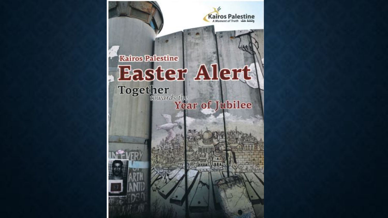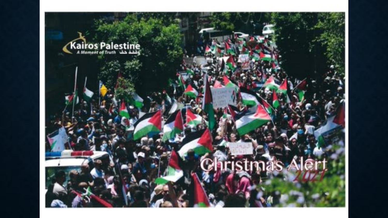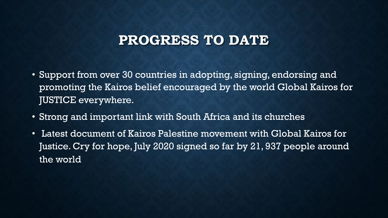### **PROGRESS TO DATE**

- Support from over 30 countries in adopting, signing, endorsing and promoting the Kairos belief encouraged by the world Global Kairos for JUSTICE everywhere.
- Strong and important link with South Africa and its churches
- Latest document of Kairos Palestine movement with Global Kairos for Justice. Cry for hope, July 2020 signed so far by 21, 937 people around the world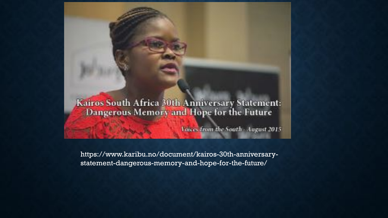#### Kairos South Africa 30th Anniversary Statement: Dangerous Memory and Hope for the Future

Voices from the South - August 2015

https://www.karibu.no/document/kairos-30th-anniversarystatement-dangerous-memory-and-hope-for-the-future/